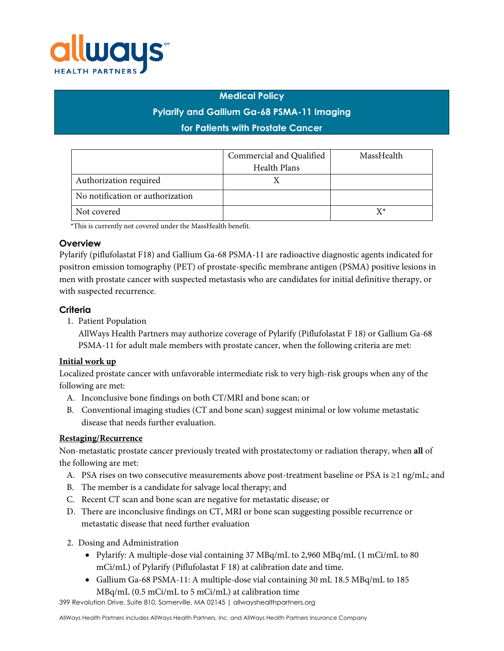

#### **Medical Policy**

# **Pylarify and Gallium Ga-68 PSMA-11 Imaging**

### **for Patients with Prostate Cancer**

|                                  | Commercial and Qualified | MassHealth |
|----------------------------------|--------------------------|------------|
|                                  | Health Plans             |            |
| Authorization required           |                          |            |
| No notification or authorization |                          |            |
| Not covered                      |                          | x∗         |

\*This is currently not covered under the MassHealth benefit.

### **Overview**

Pylarify (piflufolastat F18) and Gallium Ga-68 PSMA-11 are radioactive diagnostic agents indicated for positron emission tomography (PET) of prostate-specific membrane antigen (PSMA) positive lesions in men with prostate cancer with suspected metastasis who are candidates for initial definitive therapy, or with suspected recurrence.

### **Criteria**

1. Patient Population

AllWays Health Partners may authorize coverage of Pylarify (Piflufolastat F 18) or Gallium Ga-68 PSMA-11 for adult male members with prostate cancer, when the following criteria are met:

### **Initial work up**

Localized prostate cancer with unfavorable intermediate risk to very high-risk groups when any of the following are met:

- A. Inconclusive bone findings on both CT/MRI and bone scan; or
- B. Conventional imaging studies (CT and bone scan) suggest minimal or low volume metastatic disease that needs further evaluation.

### **Restaging/Recurrence**

Non-metastatic prostate cancer previously treated with prostatectomy or radiation therapy, when **all** of the following are met:

- A. PSA rises on two consecutive measurements above post-treatment baseline or PSA is  $\geq 1$  ng/mL; and
- B. The member is a candidate for salvage local therapy; and
- C. Recent CT scan and bone scan are negative for metastatic disease; or
- D. There are inconclusive findings on CT, MRI or bone scan suggesting possible recurrence or metastatic disease that need further evaluation
- 2. Dosing and Administration
	- Pylarify: A multiple-dose vial containing 37 MBq/mL to 2,960 MBq/mL (1 mCi/mL to 80 mCi/mL) of Pylarify (Piflufolastat F 18) at calibration date and time.
	- Gallium Ga-68 PSMA-11: A multiple-dose vial containing 30 mL 18.5 MBq/mL to 185 MBq/mL (0.5 mCi/mL to 5 mCi/mL) at calibration time

399 Revolution Drive, Suite 810, Somerville, MA 02145 | allwayshealthpartners.org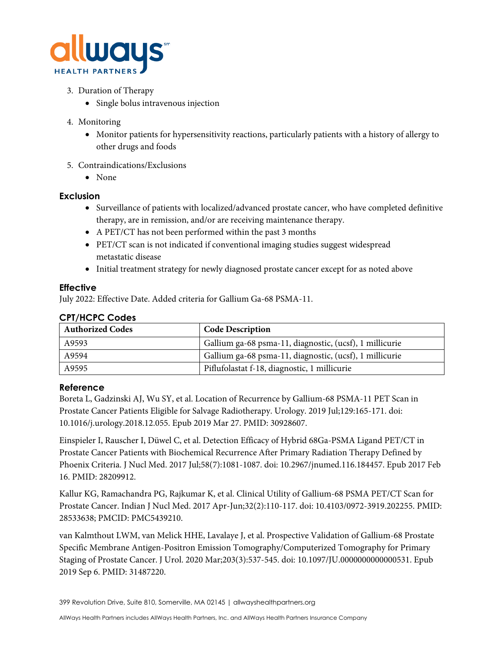

- 3. Duration of Therapy
	- Single bolus intravenous injection
- 4. Monitoring
	- Monitor patients for hypersensitivity reactions, particularly patients with a history of allergy to other drugs and foods
- 5. Contraindications/Exclusions
	- None

## **Exclusion**

- Surveillance of patients with localized/advanced prostate cancer, who have completed definitive therapy, are in remission, and/or are receiving maintenance therapy.
- A PET/CT has not been performed within the past 3 months
- PET/CT scan is not indicated if conventional imaging studies suggest widespread metastatic disease
- Initial treatment strategy for newly diagnosed prostate cancer except for as noted above

### **Effective**

July 2022: Effective Date. Added criteria for Gallium Ga-68 PSMA-11.

| <b>CPT/HCPC Codes</b>   |                                                         |  |
|-------------------------|---------------------------------------------------------|--|
| <b>Authorized Codes</b> | <b>Code Description</b>                                 |  |
| A9593                   | Gallium ga-68 psma-11, diagnostic, (ucsf), 1 millicurie |  |
| A9594                   | Gallium ga-68 psma-11, diagnostic, (ucsf), 1 millicurie |  |
| A9595                   | Piflufolastat f-18, diagnostic, 1 millicurie            |  |

### **Reference**

Boreta L, Gadzinski AJ, Wu SY, et al. Location of Recurrence by Gallium-68 PSMA-11 PET Scan in Prostate Cancer Patients Eligible for Salvage Radiotherapy. Urology. 2019 Jul;129:165-171. doi: 10.1016/j.urology.2018.12.055. Epub 2019 Mar 27. PMID: 30928607.

Einspieler I, Rauscher I, Düwel C, et al. Detection Efficacy of Hybrid 68Ga-PSMA Ligand PET/CT in Prostate Cancer Patients with Biochemical Recurrence After Primary Radiation Therapy Defined by Phoenix Criteria. J Nucl Med. 2017 Jul;58(7):1081-1087. doi: 10.2967/jnumed.116.184457. Epub 2017 Feb 16. PMID: 28209912.

Kallur KG, Ramachandra PG, Rajkumar K, et al. Clinical Utility of Gallium-68 PSMA PET/CT Scan for Prostate Cancer. Indian J Nucl Med. 2017 Apr-Jun;32(2):110-117. doi: 10.4103/0972-3919.202255. PMID: 28533638; PMCID: PMC5439210.

van Kalmthout LWM, van Melick HHE, Lavalaye J, et al. Prospective Validation of Gallium-68 Prostate Specific Membrane Antigen-Positron Emission Tomography/Computerized Tomography for Primary Staging of Prostate Cancer. J Urol. 2020 Mar;203(3):537-545. doi: 10.1097/JU.0000000000000531. Epub 2019 Sep 6. PMID: 31487220.